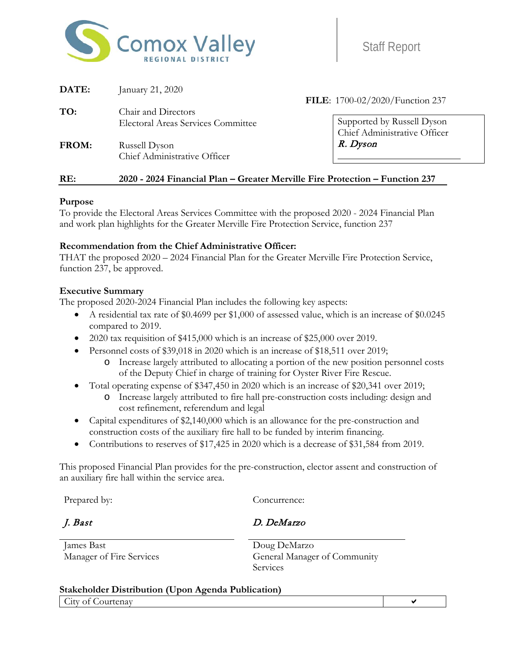

| DATE: | January 21, 2020                                                             |                                                            |
|-------|------------------------------------------------------------------------------|------------------------------------------------------------|
| TO:   | Chair and Directors                                                          | FILE: 1700-02/2020/Function 237                            |
|       | <b>Electoral Areas Services Committee</b>                                    | Supported by Russell Dyson<br>Chief Administrative Officer |
| FROM: | Russell Dyson<br>Chief Administrative Officer                                | R. Dyson                                                   |
| RE:   | 2020 - 2024 Financial Plan – Greater Merville Fire Protection – Function 237 |                                                            |

#### **Purpose**

To provide the Electoral Areas Services Committee with the proposed 2020 - 2024 Financial Plan and work plan highlights for the Greater Merville Fire Protection Service, function 237

#### **Recommendation from the Chief Administrative Officer:**

THAT the proposed 2020 – 2024 Financial Plan for the Greater Merville Fire Protection Service, function 237, be approved.

#### **Executive Summary**

The proposed 2020-2024 Financial Plan includes the following key aspects:

- A residential tax rate of \$0.4699 per \$1,000 of assessed value, which is an increase of \$0.0245 compared to 2019.
- 2020 tax requisition of \$415,000 which is an increase of \$25,000 over 2019.
- Personnel costs of \$39,018 in 2020 which is an increase of \$18,511 over 2019;
	- o Increase largely attributed to allocating a portion of the new position personnel costs of the Deputy Chief in charge of training for Oyster River Fire Rescue.
- Total operating expense of \$347,450 in 2020 which is an increase of \$20,341 over 2019;
	- o Increase largely attributed to fire hall pre-construction costs including: design and cost refinement, referendum and legal
- Capital expenditures of \$2,140,000 which is an allowance for the pre-construction and construction costs of the auxiliary fire hall to be funded by interim financing.
- Contributions to reserves of \$17,425 in 2020 which is a decrease of \$31,584 from 2019.

This proposed Financial Plan provides for the pre-construction, elector assent and construction of an auxiliary fire hall within the service area.

Prepared by: Concurrence:

J. Bast D. DeMarzo

James Bast Doug DeMarzo

Manager of Fire Services General Manager of Community Services

#### **Stakeholder Distribution (Upon Agenda Publication)** City of Courtenay and the courter of courtenay and the courter of courtenay and the courtenay of courtenay and the courtenay of courtenay and the courtenay of courtenay and the courtenay of courtenay and the courtenay of c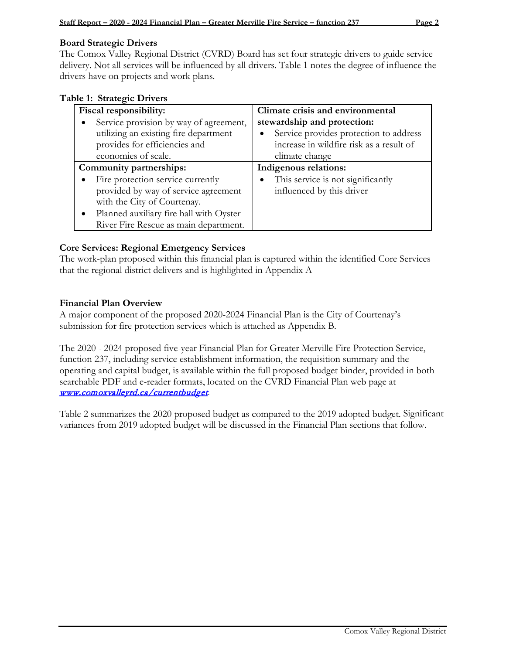#### **Board Strategic Drivers**

The Comox Valley Regional District (CVRD) Board has set four strategic drivers to guide service delivery. Not all services will be influenced by all drivers. Table 1 notes the degree of influence the drivers have on projects and work plans.

|  | Table 1: Strategic Drivers |  |
|--|----------------------------|--|
|--|----------------------------|--|

| Fiscal responsibility:                  | Climate crisis and environmental                    |
|-----------------------------------------|-----------------------------------------------------|
| Service provision by way of agreement,  | stewardship and protection:                         |
| utilizing an existing fire department   | Service provides protection to address<br>$\bullet$ |
| provides for efficiencies and           | increase in wildfire risk as a result of            |
| economies of scale.                     | climate change                                      |
| Community partnerships:                 | Indigenous relations:                               |
| Fire protection service currently       | This service is not significantly<br>$\bullet$      |
| provided by way of service agreement    | influenced by this driver                           |
| with the City of Courtenay.             |                                                     |
| Planned auxiliary fire hall with Oyster |                                                     |
| River Fire Rescue as main department.   |                                                     |

#### **Core Services: Regional Emergency Services**

The work-plan proposed within this financial plan is captured within the identified Core Services that the regional district delivers and is highlighted in Appendix A

#### **Financial Plan Overview**

A major component of the proposed 2020-2024 Financial Plan is the City of Courtenay's submission for fire protection services which is attached as Appendix B.

The 2020 - 2024 proposed five-year Financial Plan for Greater Merville Fire Protection Service, function 237, including service establishment information, the requisition summary and the operating and capital budget, is available within the full proposed budget binder, provided in both searchable PDF and e-reader formats, located on the CVRD Financial Plan web page at [www.comoxvalleyrd.ca/currentbudget](http://www.comoxvalleyrd.ca/currentbudget).

Table 2 summarizes the 2020 proposed budget as compared to the 2019 adopted budget. Significant variances from 2019 adopted budget will be discussed in the Financial Plan sections that follow.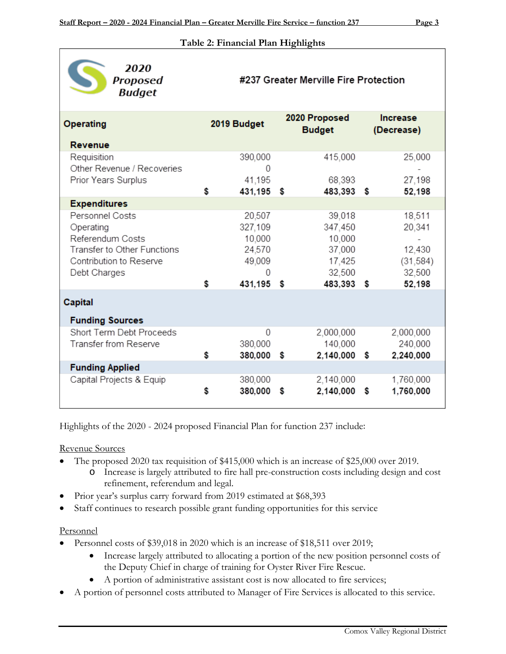#### **Table 2: Financial Plan Highlights**

| 2020<br>Proposed<br><b>Budget</b>                                                                                          |                                                      |      | #237 Greater Merville Fire Protection                     |                               |                                                   |
|----------------------------------------------------------------------------------------------------------------------------|------------------------------------------------------|------|-----------------------------------------------------------|-------------------------------|---------------------------------------------------|
| <b>Operating</b>                                                                                                           | 2019 Budget                                          |      | 2020 Proposed<br><b>Budget</b>                            | <b>Increase</b><br>(Decrease) |                                                   |
| <b>Revenue</b>                                                                                                             |                                                      |      |                                                           |                               |                                                   |
| Requisition<br>Other Revenue / Recoveries                                                                                  | 390,000<br>$\Omega$                                  |      | 415,000                                                   |                               | 25,000                                            |
| Prior Years Surplus                                                                                                        | \$<br>41,195<br>431,195 \$                           |      | 68,393<br>483,393 \$                                      |                               | 27,198<br>52,198                                  |
| <b>Expenditures</b>                                                                                                        |                                                      |      |                                                           |                               |                                                   |
| Personnel Costs<br>Operating<br>Referendum Costs<br>Transfer to Other Functions<br>Contribution to Reserve<br>Debt Charges | 20,507<br>327,109<br>10,000<br>24,570<br>49,009<br>Ω |      | 39,018<br>347,450<br>10,000<br>37,000<br>17,425<br>32,500 |                               | 18,511<br>20,341<br>12,430<br>(31, 584)<br>32,500 |
|                                                                                                                            | \$<br>431,195 \$                                     |      | 483,393 \$                                                |                               | 52,198                                            |
| Capital<br><b>Funding Sources</b>                                                                                          |                                                      |      |                                                           |                               |                                                   |
| Short Term Debt Proceeds<br>Transfer from Reserve                                                                          | 0<br>380,000                                         |      | 2,000,000<br>140,000                                      |                               | 2,000,000<br>240,000                              |
|                                                                                                                            | \$<br>380,000 \$                                     |      | 2,140,000 \$                                              |                               | 2,240,000                                         |
| <b>Funding Applied</b>                                                                                                     |                                                      |      |                                                           |                               |                                                   |
| Capital Projects & Equip                                                                                                   | \$<br>380,000<br>380,000                             | - \$ | 2,140,000<br>2,140,000 \$                                 |                               | 1,760,000<br>1,760,000                            |

Highlights of the 2020 - 2024 proposed Financial Plan for function 237 include:

Revenue Sources

- The proposed 2020 tax requisition of \$415,000 which is an increase of \$25,000 over 2019.
	- o Increase is largely attributed to fire hall pre-construction costs including design and cost refinement, referendum and legal.
- Prior year's surplus carry forward from 2019 estimated at \$68,393
- Staff continues to research possible grant funding opportunities for this service

#### Personnel

- Personnel costs of \$39,018 in 2020 which is an increase of \$18,511 over 2019;
	- Increase largely attributed to allocating a portion of the new position personnel costs of the Deputy Chief in charge of training for Oyster River Fire Rescue.
	- A portion of administrative assistant cost is now allocated to fire services;
- A portion of personnel costs attributed to Manager of Fire Services is allocated to this service.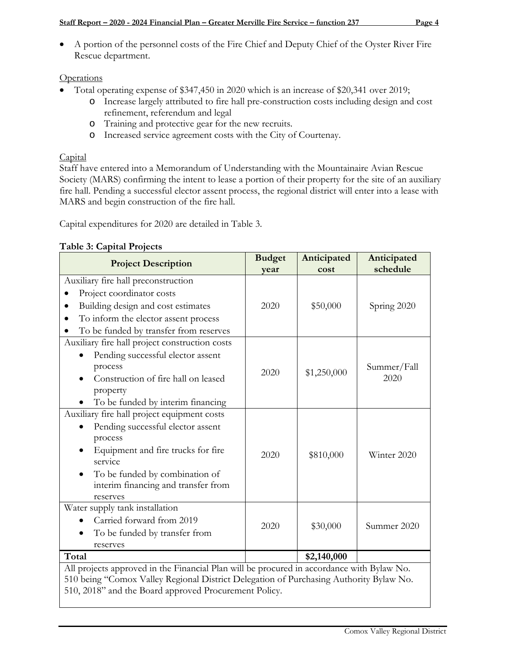• A portion of the personnel costs of the Fire Chief and Deputy Chief of the Oyster River Fire Rescue department.

## **Operations**

- Total operating expense of \$347,450 in 2020 which is an increase of \$20,341 over 2019;
	- o Increase largely attributed to fire hall pre-construction costs including design and cost refinement, referendum and legal
	- o Training and protective gear for the new recruits.
	- o Increased service agreement costs with the City of Courtenay.

## **Capital**

Staff have entered into a Memorandum of Understanding with the Mountainaire Avian Rescue Society (MARS) confirming the intent to lease a portion of their property for the site of an auxiliary fire hall. Pending a successful elector assent process, the regional district will enter into a lease with MARS and begin construction of the fire hall.

Capital expenditures for 2020 are detailed in Table 3.

# **Table 3: Capital Projects**

| <b>Project Description</b>                                                                                                                      | <b>Budget</b><br>vear                                                                                                                                                    | Anticipated<br>cost | Anticipated<br>schedule |
|-------------------------------------------------------------------------------------------------------------------------------------------------|--------------------------------------------------------------------------------------------------------------------------------------------------------------------------|---------------------|-------------------------|
| Auxiliary fire hall preconstruction                                                                                                             |                                                                                                                                                                          |                     |                         |
| Project coordinator costs                                                                                                                       |                                                                                                                                                                          |                     |                         |
| Building design and cost estimates                                                                                                              | 2020                                                                                                                                                                     | \$50,000            | Spring 2020             |
| To inform the elector assent process                                                                                                            |                                                                                                                                                                          |                     |                         |
| To be funded by transfer from reserves                                                                                                          |                                                                                                                                                                          |                     |                         |
| Auxiliary fire hall project construction costs                                                                                                  |                                                                                                                                                                          |                     |                         |
| Pending successful elector assent                                                                                                               |                                                                                                                                                                          |                     |                         |
| process                                                                                                                                         |                                                                                                                                                                          |                     | Summer/Fall             |
| Construction of fire hall on leased                                                                                                             |                                                                                                                                                                          |                     | 2020                    |
| property                                                                                                                                        |                                                                                                                                                                          |                     |                         |
| To be funded by interim financing                                                                                                               | \$1,250,000<br>2020<br>2020<br>\$810,000<br>\$30,000<br>2020<br>\$2,140,000<br>All projects approved in the Financial Plan will be procured in accordance with Bylaw No. |                     |                         |
| Auxiliary fire hall project equipment costs                                                                                                     |                                                                                                                                                                          |                     |                         |
| Pending successful elector assent                                                                                                               |                                                                                                                                                                          |                     |                         |
| process                                                                                                                                         |                                                                                                                                                                          |                     |                         |
| Equipment and fire trucks for fire                                                                                                              |                                                                                                                                                                          |                     | Winter 2020             |
| service                                                                                                                                         |                                                                                                                                                                          |                     |                         |
| To be funded by combination of                                                                                                                  |                                                                                                                                                                          |                     |                         |
| interim financing and transfer from                                                                                                             |                                                                                                                                                                          |                     |                         |
| reserves                                                                                                                                        |                                                                                                                                                                          |                     |                         |
| Water supply tank installation<br>Carried forward from 2019                                                                                     |                                                                                                                                                                          |                     |                         |
|                                                                                                                                                 |                                                                                                                                                                          |                     | Summer 2020             |
| To be funded by transfer from                                                                                                                   |                                                                                                                                                                          |                     |                         |
| reserves                                                                                                                                        |                                                                                                                                                                          |                     |                         |
| Total                                                                                                                                           |                                                                                                                                                                          |                     |                         |
|                                                                                                                                                 |                                                                                                                                                                          |                     |                         |
| 510 being "Comox Valley Regional District Delegation of Purchasing Authority Bylaw No.<br>510, 2018" and the Board approved Procurement Policy. |                                                                                                                                                                          |                     |                         |
|                                                                                                                                                 |                                                                                                                                                                          |                     |                         |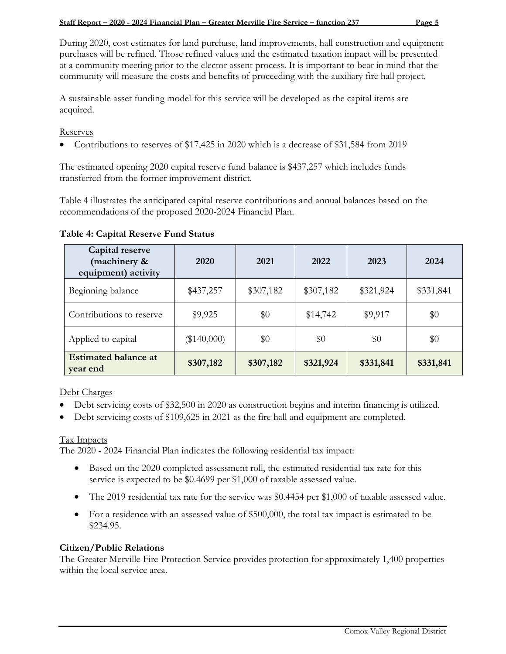During 2020, cost estimates for land purchase, land improvements, hall construction and equipment purchases will be refined. Those refined values and the estimated taxation impact will be presented at a community meeting prior to the elector assent process. It is important to bear in mind that the community will measure the costs and benefits of proceeding with the auxiliary fire hall project.

A sustainable asset funding model for this service will be developed as the capital items are acquired.

#### **Reserves**

• Contributions to reserves of \$17,425 in 2020 which is a decrease of \$31,584 from 2019

The estimated opening 2020 capital reserve fund balance is \$437,257 which includes funds transferred from the former improvement district.

Table 4 illustrates the anticipated capital reserve contributions and annual balances based on the recommendations of the proposed 2020-2024 Financial Plan.

| Capital reserve<br>(machinery &<br>equipment) activity | 2020          | 2021      | 2022      | 2023      | 2024      |
|--------------------------------------------------------|---------------|-----------|-----------|-----------|-----------|
| Beginning balance                                      | \$437,257     | \$307,182 | \$307,182 | \$321,924 | \$331,841 |
| Contributions to reserve                               | \$9,925       | \$0       | \$14,742  | \$9,917   | \$0       |
| Applied to capital                                     | $(\$140,000)$ | \$0       | \$0       | \$0       | \$0       |
| <b>Estimated balance at</b><br>year end                | \$307,182     | \$307,182 | \$321,924 | \$331,841 | \$331,841 |

#### **Table 4: Capital Reserve Fund Status**

Debt Charges

- Debt servicing costs of \$32,500 in 2020 as construction begins and interim financing is utilized.
- Debt servicing costs of \$109,625 in 2021 as the fire hall and equipment are completed.

#### Tax Impacts

The 2020 - 2024 Financial Plan indicates the following residential tax impact:

- Based on the 2020 completed assessment roll, the estimated residential tax rate for this service is expected to be \$0.4699 per \$1,000 of taxable assessed value.
- The 2019 residential tax rate for the service was \$0.4454 per \$1,000 of taxable assessed value.
- For a residence with an assessed value of \$500,000, the total tax impact is estimated to be \$234.95.

#### **Citizen/Public Relations**

The Greater Merville Fire Protection Service provides protection for approximately 1,400 properties within the local service area.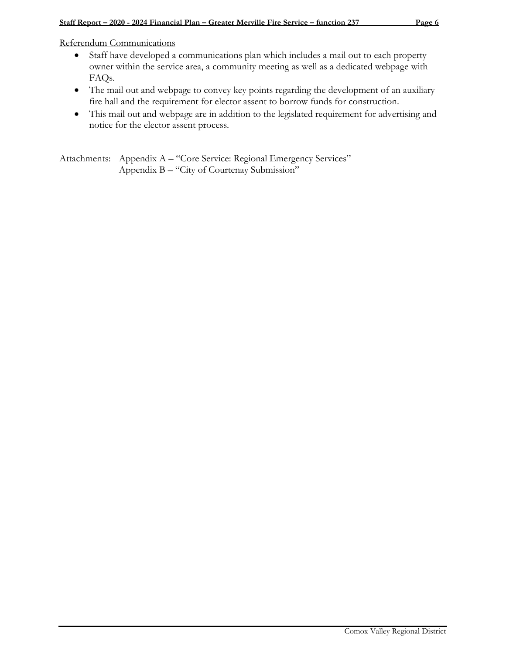Referendum Communications

- Staff have developed a communications plan which includes a mail out to each property owner within the service area, a community meeting as well as a dedicated webpage with FAQs.
- The mail out and webpage to convey key points regarding the development of an auxiliary fire hall and the requirement for elector assent to borrow funds for construction.
- This mail out and webpage are in addition to the legislated requirement for advertising and notice for the elector assent process.

Attachments: Appendix A – "Core Service: Regional Emergency Services" Appendix B – "City of Courtenay Submission"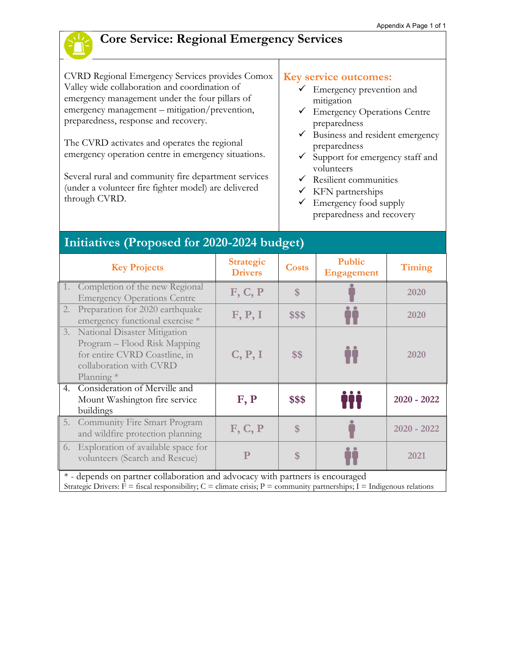

# **Core Service: Regional Emergency Services**

CVRD Regional Emergency Services provides Comox Valley wide collaboration and coordination of emergency management under the four pillars of emergency management – mitigation/prevention, preparedness, response and recovery.

The CVRD activates and operates the regional emergency operation centre in emergency situations.

Several rural and community fire department services (under a volunteer fire fighter model) are delivered through CVRD.

#### **Key service outcomes:**

- $\checkmark$  Emergency prevention and mitigation
- Emergency Operations Centre preparedness
- $\checkmark$  Business and resident emergency preparedness
- $\checkmark$  Support for emergency staff and volunteers
- $\checkmark$  Resilient communities
- $\checkmark$  KFN partnerships
- $\checkmark$  Emergency food supply preparedness and recovery

# **Initiatives (Proposed for 2020-2024 budget)**

|    | <b>Key Projects</b>                                                                                                                         | <b>Strategic</b><br><b>Drivers</b> | <b>Costs</b> | <b>Public</b><br><b>Engagement</b> | Timing        |
|----|---------------------------------------------------------------------------------------------------------------------------------------------|------------------------------------|--------------|------------------------------------|---------------|
|    | 1. Completion of the new Regional<br><b>Emergency Operations Centre</b>                                                                     | F, C, P                            | \$           |                                    | 2020          |
|    | 2. Preparation for 2020 earthquake<br>emergency functional exercise *                                                                       | F, P, I                            | \$\$\$       |                                    | 2020          |
|    | 3. National Disaster Mitigation<br>Program – Flood Risk Mapping<br>for entire CVRD Coastline, in<br>collaboration with CVRD<br>Planning $*$ | C, P, I                            | \$\$         |                                    | 2020          |
| 4. | Consideration of Merville and<br>Mount Washington fire service<br>buildings                                                                 | F, P                               | \$\$\$       |                                    | $2020 - 2022$ |
|    | 5. Community Fire Smart Program<br>and wildfire protection planning                                                                         | F, C, P                            | \$           |                                    | $2020 - 2022$ |
|    | 6. Exploration of available space for<br>volunteers (Search and Rescue)                                                                     | P                                  | \$           |                                    | 2021          |
|    | * - depends on partner collaboration and advocacy with partners is encouraged                                                               |                                    |              |                                    |               |

Strategic Drivers:  $F =$  fiscal responsibility;  $C =$  climate crisis;  $P =$  community partnerships; I = Indigenous relations